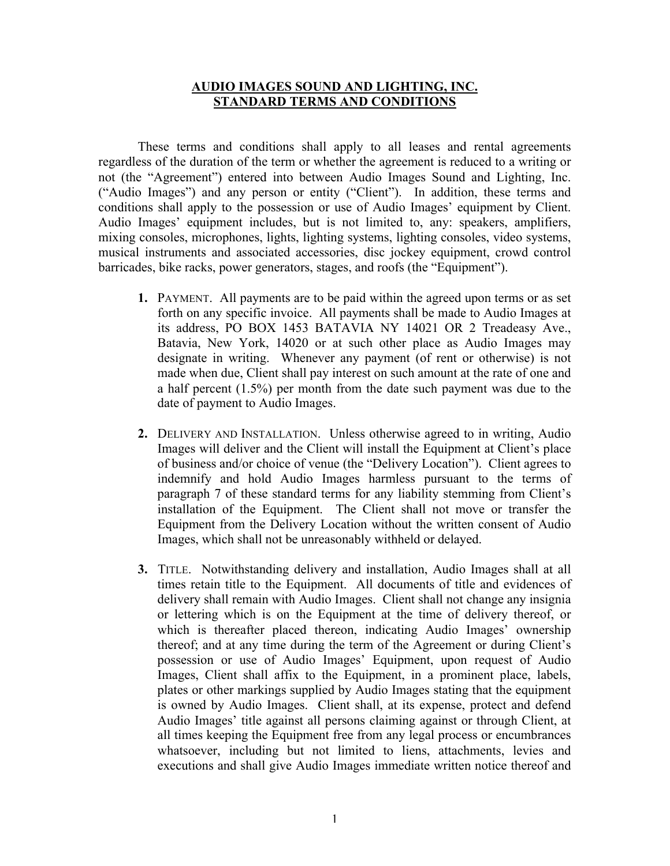## **AUDIO IMAGES SOUND AND LIGHTING, INC. STANDARD TERMS AND CONDITIONS**

These terms and conditions shall apply to all leases and rental agreements regardless of the duration of the term or whether the agreement is reduced to a writing or not (the "Agreement") entered into between Audio Images Sound and Lighting, Inc. ("Audio Images") and any person or entity ("Client"). In addition, these terms and conditions shall apply to the possession or use of Audio Images' equipment by Client. Audio Images' equipment includes, but is not limited to, any: speakers, amplifiers, mixing consoles, microphones, lights, lighting systems, lighting consoles, video systems, musical instruments and associated accessories, disc jockey equipment, crowd control barricades, bike racks, power generators, stages, and roofs (the "Equipment").

- **1.** PAYMENT. All payments are to be paid within the agreed upon terms or as set forth on any specific invoice. All payments shall be made to Audio Images at its address, PO BOX 1453 BATAVIA NY 14021 OR 2 Treadeasy Ave., Batavia, New York, 14020 or at such other place as Audio Images may designate in writing. Whenever any payment (of rent or otherwise) is not made when due, Client shall pay interest on such amount at the rate of one and a half percent (1.5%) per month from the date such payment was due to the date of payment to Audio Images.
- **2.** DELIVERY AND INSTALLATION. Unless otherwise agreed to in writing, Audio Images will deliver and the Client will install the Equipment at Client's place of business and/or choice of venue (the "Delivery Location"). Client agrees to indemnify and hold Audio Images harmless pursuant to the terms of paragraph 7 of these standard terms for any liability stemming from Client's installation of the Equipment. The Client shall not move or transfer the Equipment from the Delivery Location without the written consent of Audio Images, which shall not be unreasonably withheld or delayed.
- **3.** TITLE. Notwithstanding delivery and installation, Audio Images shall at all times retain title to the Equipment. All documents of title and evidences of delivery shall remain with Audio Images. Client shall not change any insignia or lettering which is on the Equipment at the time of delivery thereof, or which is thereafter placed thereon, indicating Audio Images' ownership thereof; and at any time during the term of the Agreement or during Client's possession or use of Audio Images' Equipment, upon request of Audio Images, Client shall affix to the Equipment, in a prominent place, labels, plates or other markings supplied by Audio Images stating that the equipment is owned by Audio Images. Client shall, at its expense, protect and defend Audio Images' title against all persons claiming against or through Client, at all times keeping the Equipment free from any legal process or encumbrances whatsoever, including but not limited to liens, attachments, levies and executions and shall give Audio Images immediate written notice thereof and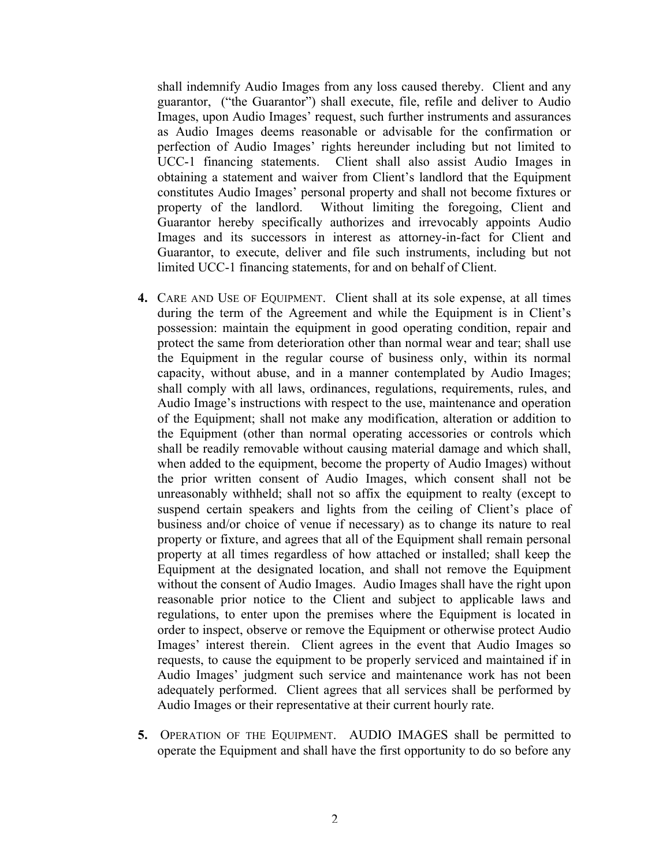shall indemnify Audio Images from any loss caused thereby. Client and any guarantor, ("the Guarantor") shall execute, file, refile and deliver to Audio Images, upon Audio Images' request, such further instruments and assurances as Audio Images deems reasonable or advisable for the confirmation or perfection of Audio Images' rights hereunder including but not limited to UCC-1 financing statements. Client shall also assist Audio Images in obtaining a statement and waiver from Client's landlord that the Equipment constitutes Audio Images' personal property and shall not become fixtures or property of the landlord. Without limiting the foregoing, Client and Guarantor hereby specifically authorizes and irrevocably appoints Audio Images and its successors in interest as attorney-in-fact for Client and Guarantor, to execute, deliver and file such instruments, including but not limited UCC-1 financing statements, for and on behalf of Client.

- **4.** CARE AND USE OF EQUIPMENT. Client shall at its sole expense, at all times during the term of the Agreement and while the Equipment is in Client's possession: maintain the equipment in good operating condition, repair and protect the same from deterioration other than normal wear and tear; shall use the Equipment in the regular course of business only, within its normal capacity, without abuse, and in a manner contemplated by Audio Images; shall comply with all laws, ordinances, regulations, requirements, rules, and Audio Image's instructions with respect to the use, maintenance and operation of the Equipment; shall not make any modification, alteration or addition to the Equipment (other than normal operating accessories or controls which shall be readily removable without causing material damage and which shall, when added to the equipment, become the property of Audio Images) without the prior written consent of Audio Images, which consent shall not be unreasonably withheld; shall not so affix the equipment to realty (except to suspend certain speakers and lights from the ceiling of Client's place of business and/or choice of venue if necessary) as to change its nature to real property or fixture, and agrees that all of the Equipment shall remain personal property at all times regardless of how attached or installed; shall keep the Equipment at the designated location, and shall not remove the Equipment without the consent of Audio Images. Audio Images shall have the right upon reasonable prior notice to the Client and subject to applicable laws and regulations, to enter upon the premises where the Equipment is located in order to inspect, observe or remove the Equipment or otherwise protect Audio Images' interest therein. Client agrees in the event that Audio Images so requests, to cause the equipment to be properly serviced and maintained if in Audio Images' judgment such service and maintenance work has not been adequately performed. Client agrees that all services shall be performed by Audio Images or their representative at their current hourly rate.
- **5.** OPERATION OF THE EQUIPMENT. AUDIO IMAGES shall be permitted to operate the Equipment and shall have the first opportunity to do so before any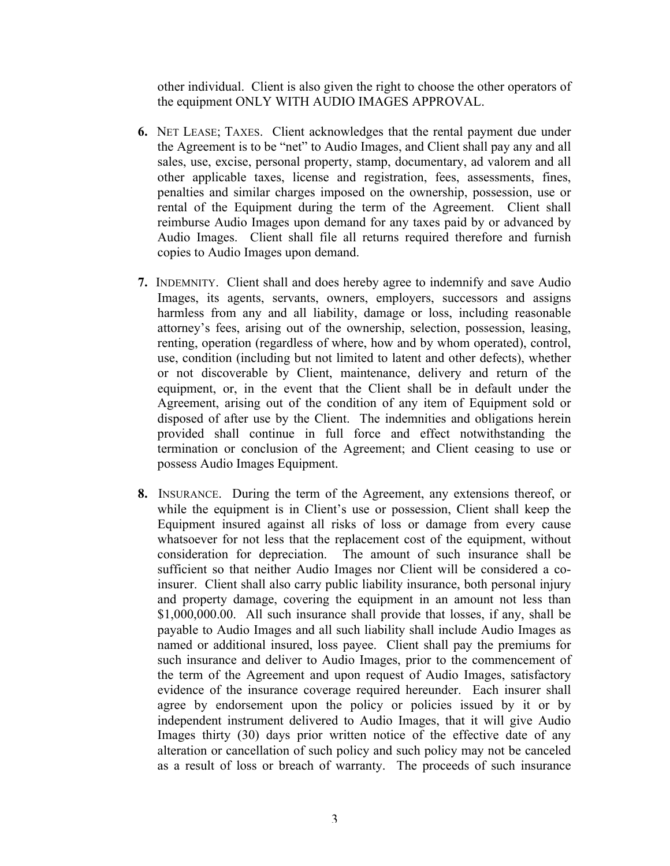other individual. Client is also given the right to choose the other operators of the equipment ONLY WITH AUDIO IMAGES APPROVAL.

- **6.** NET LEASE; TAXES. Client acknowledges that the rental payment due under the Agreement is to be "net" to Audio Images, and Client shall pay any and all sales, use, excise, personal property, stamp, documentary, ad valorem and all other applicable taxes, license and registration, fees, assessments, fines, penalties and similar charges imposed on the ownership, possession, use or rental of the Equipment during the term of the Agreement. Client shall reimburse Audio Images upon demand for any taxes paid by or advanced by Audio Images. Client shall file all returns required therefore and furnish copies to Audio Images upon demand.
- **7.** INDEMNITY. Client shall and does hereby agree to indemnify and save Audio Images, its agents, servants, owners, employers, successors and assigns harmless from any and all liability, damage or loss, including reasonable attorney's fees, arising out of the ownership, selection, possession, leasing, renting, operation (regardless of where, how and by whom operated), control, use, condition (including but not limited to latent and other defects), whether or not discoverable by Client, maintenance, delivery and return of the equipment, or, in the event that the Client shall be in default under the Agreement, arising out of the condition of any item of Equipment sold or disposed of after use by the Client. The indemnities and obligations herein provided shall continue in full force and effect notwithstanding the termination or conclusion of the Agreement; and Client ceasing to use or possess Audio Images Equipment.
- **8.** INSURANCE. During the term of the Agreement, any extensions thereof, or while the equipment is in Client's use or possession, Client shall keep the Equipment insured against all risks of loss or damage from every cause whatsoever for not less that the replacement cost of the equipment, without consideration for depreciation. The amount of such insurance shall be sufficient so that neither Audio Images nor Client will be considered a coinsurer. Client shall also carry public liability insurance, both personal injury and property damage, covering the equipment in an amount not less than \$1,000,000.00. All such insurance shall provide that losses, if any, shall be payable to Audio Images and all such liability shall include Audio Images as named or additional insured, loss payee. Client shall pay the premiums for such insurance and deliver to Audio Images, prior to the commencement of the term of the Agreement and upon request of Audio Images, satisfactory evidence of the insurance coverage required hereunder. Each insurer shall agree by endorsement upon the policy or policies issued by it or by independent instrument delivered to Audio Images, that it will give Audio Images thirty (30) days prior written notice of the effective date of any alteration or cancellation of such policy and such policy may not be canceled as a result of loss or breach of warranty. The proceeds of such insurance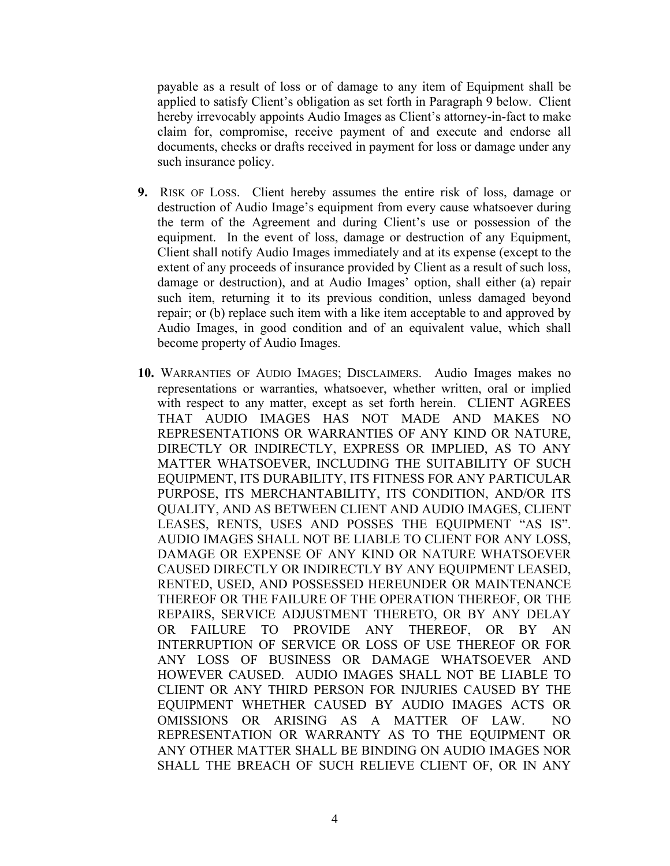payable as a result of loss or of damage to any item of Equipment shall be applied to satisfy Client's obligation as set forth in Paragraph 9 below. Client hereby irrevocably appoints Audio Images as Client's attorney-in-fact to make claim for, compromise, receive payment of and execute and endorse all documents, checks or drafts received in payment for loss or damage under any such insurance policy.

- **9.** RISK OF LOSS. Client hereby assumes the entire risk of loss, damage or destruction of Audio Image's equipment from every cause whatsoever during the term of the Agreement and during Client's use or possession of the equipment. In the event of loss, damage or destruction of any Equipment, Client shall notify Audio Images immediately and at its expense (except to the extent of any proceeds of insurance provided by Client as a result of such loss, damage or destruction), and at Audio Images' option, shall either (a) repair such item, returning it to its previous condition, unless damaged beyond repair; or (b) replace such item with a like item acceptable to and approved by Audio Images, in good condition and of an equivalent value, which shall become property of Audio Images.
- **10.** WARRANTIES OF AUDIO IMAGES; DISCLAIMERS. Audio Images makes no representations or warranties, whatsoever, whether written, oral or implied with respect to any matter, except as set forth herein. CLIENT AGREES THAT AUDIO IMAGES HAS NOT MADE AND MAKES NO REPRESENTATIONS OR WARRANTIES OF ANY KIND OR NATURE, DIRECTLY OR INDIRECTLY, EXPRESS OR IMPLIED, AS TO ANY MATTER WHATSOEVER, INCLUDING THE SUITABILITY OF SUCH EQUIPMENT, ITS DURABILITY, ITS FITNESS FOR ANY PARTICULAR PURPOSE, ITS MERCHANTABILITY, ITS CONDITION, AND/OR ITS QUALITY, AND AS BETWEEN CLIENT AND AUDIO IMAGES, CLIENT LEASES, RENTS, USES AND POSSES THE EQUIPMENT "AS IS". AUDIO IMAGES SHALL NOT BE LIABLE TO CLIENT FOR ANY LOSS, DAMAGE OR EXPENSE OF ANY KIND OR NATURE WHATSOEVER CAUSED DIRECTLY OR INDIRECTLY BY ANY EQUIPMENT LEASED, RENTED, USED, AND POSSESSED HEREUNDER OR MAINTENANCE THEREOF OR THE FAILURE OF THE OPERATION THEREOF, OR THE REPAIRS, SERVICE ADJUSTMENT THERETO, OR BY ANY DELAY OR FAILURE TO PROVIDE ANY THEREOF, OR BY AN INTERRUPTION OF SERVICE OR LOSS OF USE THEREOF OR FOR ANY LOSS OF BUSINESS OR DAMAGE WHATSOEVER AND HOWEVER CAUSED. AUDIO IMAGES SHALL NOT BE LIABLE TO CLIENT OR ANY THIRD PERSON FOR INJURIES CAUSED BY THE EQUIPMENT WHETHER CAUSED BY AUDIO IMAGES ACTS OR OMISSIONS OR ARISING AS A MATTER OF LAW. NO REPRESENTATION OR WARRANTY AS TO THE EQUIPMENT OR ANY OTHER MATTER SHALL BE BINDING ON AUDIO IMAGES NOR SHALL THE BREACH OF SUCH RELIEVE CLIENT OF, OR IN ANY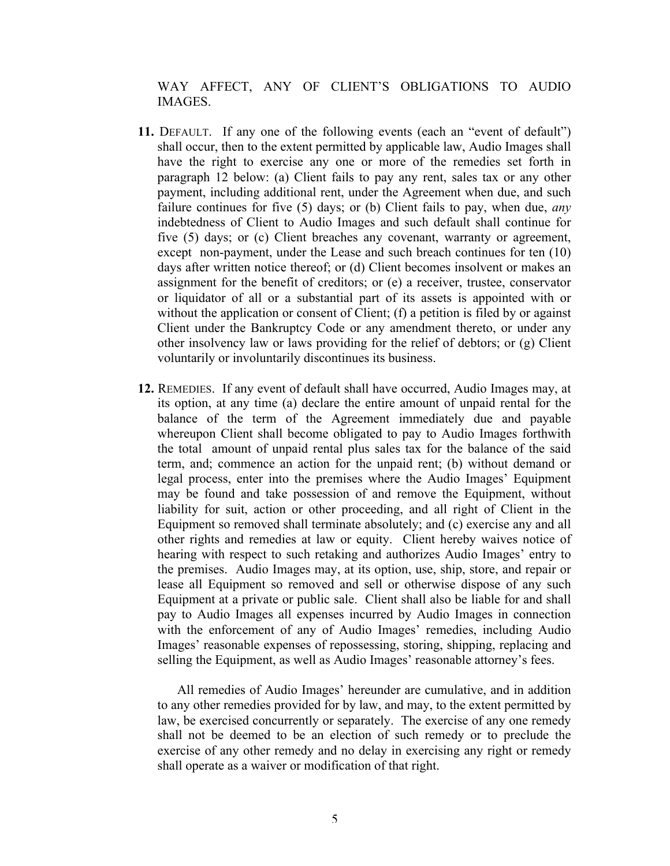WAY AFFECT, ANY OF CLIENT'S OBLIGATIONS TO AUDIO **IMAGES** 

- **11.** DEFAULT. If any one of the following events (each an "event of default") shall occur, then to the extent permitted by applicable law, Audio Images shall have the right to exercise any one or more of the remedies set forth in paragraph 12 below: (a) Client fails to pay any rent, sales tax or any other payment, including additional rent, under the Agreement when due, and such failure continues for five (5) days; or (b) Client fails to pay, when due, *any* indebtedness of Client to Audio Images and such default shall continue for five (5) days; or (c) Client breaches any covenant, warranty or agreement, except non-payment, under the Lease and such breach continues for ten (10) days after written notice thereof; or (d) Client becomes insolvent or makes an assignment for the benefit of creditors; or (e) a receiver, trustee, conservator or liquidator of all or a substantial part of its assets is appointed with or without the application or consent of Client; (f) a petition is filed by or against Client under the Bankruptcy Code or any amendment thereto, or under any other insolvency law or laws providing for the relief of debtors; or (g) Client voluntarily or involuntarily discontinues its business.
- **12.** REMEDIES. If any event of default shall have occurred, Audio Images may, at its option, at any time (a) declare the entire amount of unpaid rental for the balance of the term of the Agreement immediately due and payable whereupon Client shall become obligated to pay to Audio Images forthwith the total amount of unpaid rental plus sales tax for the balance of the said term, and; commence an action for the unpaid rent; (b) without demand or legal process, enter into the premises where the Audio Images' Equipment may be found and take possession of and remove the Equipment, without liability for suit, action or other proceeding, and all right of Client in the Equipment so removed shall terminate absolutely; and (c) exercise any and all other rights and remedies at law or equity. Client hereby waives notice of hearing with respect to such retaking and authorizes Audio Images' entry to the premises. Audio Images may, at its option, use, ship, store, and repair or lease all Equipment so removed and sell or otherwise dispose of any such Equipment at a private or public sale. Client shall also be liable for and shall pay to Audio Images all expenses incurred by Audio Images in connection with the enforcement of any of Audio Images' remedies, including Audio Images' reasonable expenses of repossessing, storing, shipping, replacing and selling the Equipment, as well as Audio Images' reasonable attorney's fees.

All remedies of Audio Images' hereunder are cumulative, and in addition to any other remedies provided for by law, and may, to the extent permitted by law, be exercised concurrently or separately. The exercise of any one remedy shall not be deemed to be an election of such remedy or to preclude the exercise of any other remedy and no delay in exercising any right or remedy shall operate as a waiver or modification of that right.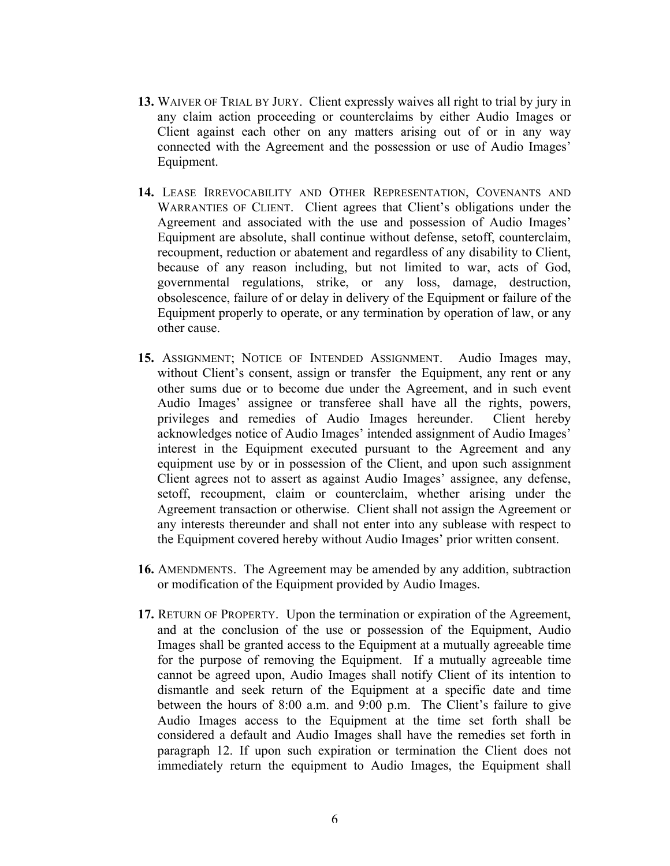- **13.** WAIVER OF TRIAL BY JURY. Client expressly waives all right to trial by jury in any claim action proceeding or counterclaims by either Audio Images or Client against each other on any matters arising out of or in any way connected with the Agreement and the possession or use of Audio Images' Equipment.
- **14.** LEASE IRREVOCABILITY AND OTHER REPRESENTATION, COVENANTS AND WARRANTIES OF CLIENT. Client agrees that Client's obligations under the Agreement and associated with the use and possession of Audio Images' Equipment are absolute, shall continue without defense, setoff, counterclaim, recoupment, reduction or abatement and regardless of any disability to Client, because of any reason including, but not limited to war, acts of God, governmental regulations, strike, or any loss, damage, destruction, obsolescence, failure of or delay in delivery of the Equipment or failure of the Equipment properly to operate, or any termination by operation of law, or any other cause.
- **15.** ASSIGNMENT; NOTICE OF INTENDED ASSIGNMENT. Audio Images may, without Client's consent, assign or transfer the Equipment, any rent or any other sums due or to become due under the Agreement, and in such event Audio Images' assignee or transferee shall have all the rights, powers, privileges and remedies of Audio Images hereunder. Client hereby acknowledges notice of Audio Images' intended assignment of Audio Images' interest in the Equipment executed pursuant to the Agreement and any equipment use by or in possession of the Client, and upon such assignment Client agrees not to assert as against Audio Images' assignee, any defense, setoff, recoupment, claim or counterclaim, whether arising under the Agreement transaction or otherwise. Client shall not assign the Agreement or any interests thereunder and shall not enter into any sublease with respect to the Equipment covered hereby without Audio Images' prior written consent.
- **16.** AMENDMENTS. The Agreement may be amended by any addition, subtraction or modification of the Equipment provided by Audio Images.
- **17.** RETURN OF PROPERTY. Upon the termination or expiration of the Agreement, and at the conclusion of the use or possession of the Equipment, Audio Images shall be granted access to the Equipment at a mutually agreeable time for the purpose of removing the Equipment. If a mutually agreeable time cannot be agreed upon, Audio Images shall notify Client of its intention to dismantle and seek return of the Equipment at a specific date and time between the hours of 8:00 a.m. and 9:00 p.m. The Client's failure to give Audio Images access to the Equipment at the time set forth shall be considered a default and Audio Images shall have the remedies set forth in paragraph 12. If upon such expiration or termination the Client does not immediately return the equipment to Audio Images, the Equipment shall